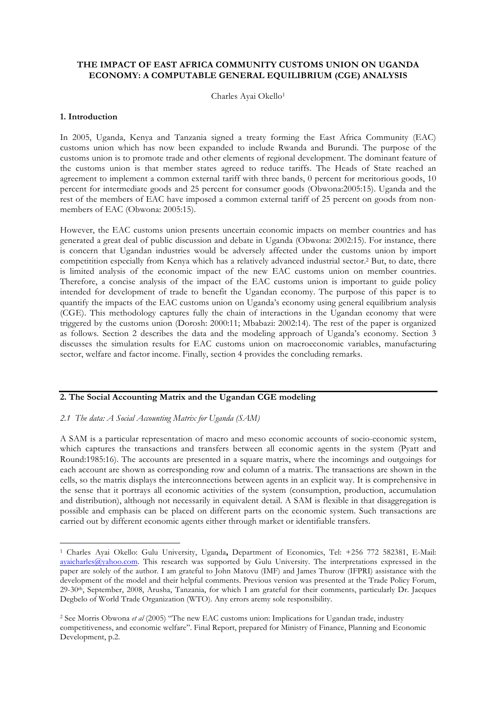# **THE IMPACT OF EAST AFRICA COMMUNITY CUSTOMS UNION ON UGANDA ECONOMY: A COMPUTABLE GENERAL EQUILIBRIUM (CGE) ANALYSIS**

Charles Ayai Okello1

## **1. Introduction**

 $\overline{a}$ 

In 2005, Uganda, Kenya and Tanzania signed a treaty forming the East Africa Community (EAC) customs union which has now been expanded to include Rwanda and Burundi. The purpose of the customs union is to promote trade and other elements of regional development. The dominant feature of the customs union is that member states agreed to reduce tariffs. The Heads of State reached an agreement to implement a common external tariff with three bands, 0 percent for meritorious goods, 10 percent for intermediate goods and 25 percent for consumer goods (Obwona:2005:15). Uganda and the rest of the members of EAC have imposed a common external tariff of 25 percent on goods from nonmembers of EAC (Obwona: 2005:15).

However, the EAC customs union presents uncertain economic impacts on member countries and has generated a great deal of public discussion and debate in Uganda (Obwona: 2002:15). For instance, there is concern that Ugandan industries would be adversely affected under the customs union by import competitition especially from Kenya which has a relatively advanced industrial sector.2 But, to date, there is limited analysis of the economic impact of the new EAC customs union on member countries. Therefore, a concise analysis of the impact of the EAC customs union is important to guide policy intended for development of trade to benefit the Ugandan economy. The purpose of this paper is to quantify the impacts of the EAC customs union on Uganda's economy using general equilibrium analysis (CGE). This methodology captures fully the chain of interactions in the Ugandan economy that were triggered by the customs union (Dorosh: 2000:11; Mbabazi: 2002:14). The rest of the paper is organized as follows. Section 2 describes the data and the modeling approach of Uganda's economy. Section 3 discusses the simulation results for EAC customs union on macroeconomic variables, manufacturing sector, welfare and factor income. Finally, section 4 provides the concluding remarks.

# **2. The Social Accounting Matrix and the Ugandan CGE modeling**

## *2.1 The data: A Social Accounting Matrix for Uganda (SAM)*

A SAM is a particular representation of macro and meso economic accounts of socio-economic system, which captures the transactions and transfers between all economic agents in the system (Pyatt and Round:1985:16). The accounts are presented in a square matrix, where the incomings and outgoings for each account are shown as corresponding row and column of a matrix. The transactions are shown in the cells, so the matrix displays the interconnections between agents in an explicit way. It is comprehensive in the sense that it portrays all economic activities of the system (consumption, production, accumulation and distribution), although not necessarily in equivalent detail. A SAM is flexible in that disaggregation is possible and emphasis can be placed on different parts on the economic system. Such transactions are carried out by different economic agents either through market or identifiable transfers.

<sup>1</sup> Charles Ayai Okello: Gulu University, Uganda**,** Department of Economics, Tel: +256 772 582381, E-Mail: ayaicharles@yahoo.com. This research was supported by Gulu University. The interpretations expressed in the paper are solely of the author. I am grateful to John Matovu (IMF) and James Thurow (IFPRI) assistance with the development of the model and their helpful comments. Previous version was presented at the Trade Policy Forum, 29-30th, September, 2008, Arusha, Tanzania, for which I am grateful for their comments, particularly Dr. Jacques Degbelo of World Trade Organization (WTO). Any errors aremy sole responsibility.

<sup>2</sup> See Morris Obwona *et al* (2005) "The new EAC customs union: Implications for Ugandan trade, industry competitiveness, and economic welfare". Final Report, prepared for Ministry of Finance, Planning and Economic Development, p.2.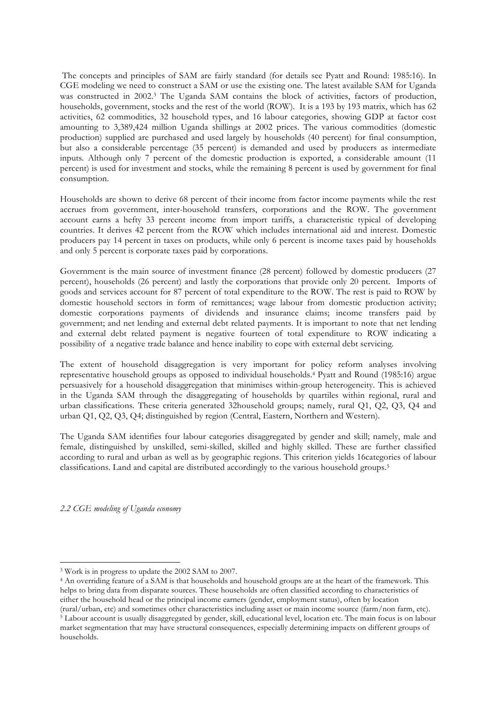The concepts and principles of SAM are fairly standard (for details see Pyatt and Round: 1985:16). In CGE modeling we need to construct a SAM or use the existing one. The latest available SAM for Uganda was constructed in 2002.3 The Uganda SAM contains the block of activities, factors of production, households, government, stocks and the rest of the world (ROW). It is a 193 by 193 matrix, which has 62 activities, 62 commodities, 32 household types, and 16 labour categories, showing GDP at factor cost amounting to 3,389,424 million Uganda shillings at 2002 prices. The various commodities (domestic production) supplied are purchased and used largely by households (40 percent) for final consumption, but also a considerable percentage (35 percent) is demanded and used by producers as intermediate inputs. Although only 7 percent of the domestic production is exported, a considerable amount (11 percent) is used for investment and stocks, while the remaining 8 percent is used by government for final consumption.

Households are shown to derive 68 percent of their income from factor income payments while the rest accrues from government, inter-household transfers, corporations and the ROW. The government account earns a hefty 33 percent income from import tariffs, a characteristic typical of developing countries. It derives 42 percent from the ROW which includes international aid and interest. Domestic producers pay 14 percent in taxes on products, while only 6 percent is income taxes paid by households and only 5 percent is corporate taxes paid by corporations.

Government is the main source of investment finance (28 percent) followed by domestic producers (27 percent), households (26 percent) and lastly the corporations that provide only 20 percent. Imports of goods and services account for 87 percent of total expenditure to the ROW. The rest is paid to ROW by domestic household sectors in form of remittances; wage labour from domestic production activity; domestic corporations payments of dividends and insurance claims; income transfers paid by government; and net lending and external debt related payments. It is important to note that net lending and external debt related payment is negative fourteen of total expenditure to ROW indicating a possibility of a negative trade balance and hence inability to cope with external debt servicing.

The extent of household disaggregation is very important for policy reform analyses involving representative household groups as opposed to individual households.4 Pyatt and Round (1985:16) argue persuasively for a household disaggregation that minimises within-group heterogeneity. This is achieved in the Uganda SAM through the disaggregating of households by quartiles within regional, rural and urban classifications. These criteria generated 32household groups; namely, rural Q1, Q2, Q3, Q4 and urban Q1, Q2, Q3, Q4; distinguished by region (Central, Eastern, Northern and Western).

The Uganda SAM identifies four labour categories disaggregated by gender and skill; namely, male and female, distinguished by unskilled, semi-skilled, skilled and highly skilled. These are further classified according to rural and urban as well as by geographic regions. This criterion yields 16categories of labour classifications. Land and capital are distributed accordingly to the various household groups.5

*2.2 CGE modeling of Uganda economy*

 $\overline{a}$ 

<sup>3</sup> Work is in progress to update the 2002 SAM to 2007.

<sup>&</sup>lt;sup>4</sup> An overriding feature of a SAM is that households and household groups are at the heart of the framework. This helps to bring data from disparate sources. These households are often classified according to characteristics of either the household head or the principal income earners (gender, employment status), often by location (rural/urban, etc) and sometimes other characteristics including asset or main income source (farm/non farm, etc).

<sup>&</sup>lt;sup>5</sup> Labour account is usually disaggregated by gender, skill, educational level, location etc. The main focus is on labour market segmentation that may have structural consequences, especially determining impacts on different groups of households.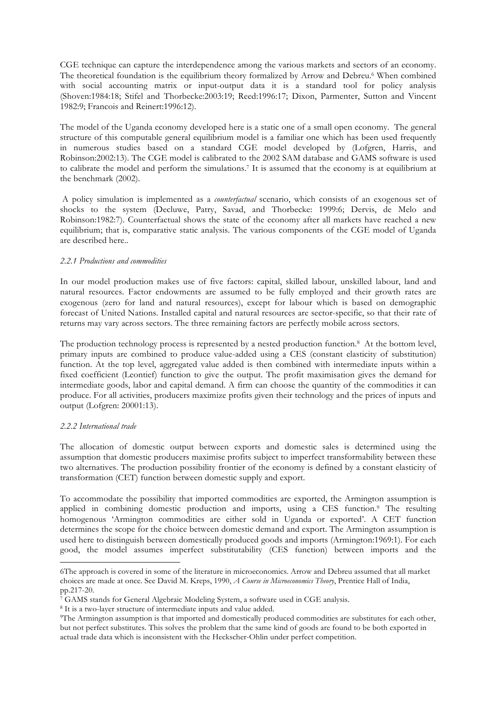CGE technique can capture the interdependence among the various markets and sectors of an economy. The theoretical foundation is the equilibrium theory formalized by Arrow and Debreu.<sup>6</sup> When combined with social accounting matrix or input-output data it is a standard tool for policy analysis (Shoven:1984:18; Stifel and Thorbecke:2003:19; Reed:1996:17; Dixon, Parmenter, Sutton and Vincent 1982:9; Francois and Reinert:1996:12).

The model of the Uganda economy developed here is a static one of a small open economy. The general structure of this computable general equilibrium model is a familiar one which has been used frequently in numerous studies based on a standard CGE model developed by (Lofgren, Harris, and Robinson:2002:13). The CGE model is calibrated to the 2002 SAM database and GAMS software is used to calibrate the model and perform the simulations.7 It is assumed that the economy is at equilibrium at the benchmark (2002).

A policy simulation is implemented as a *counterfactual* scenario, which consists of an exogenous set of shocks to the system (Decluwe, Patry, Savad, and Thorbecke: 1999:6; Dervis, de Melo and Robinson:1982:7). Counterfactual shows the state of the economy after all markets have reached a new equilibrium; that is, comparative static analysis. The various components of the CGE model of Uganda are described here..

# *2.2.1 Productions and commodities*

In our model production makes use of five factors: capital, skilled labour, unskilled labour, land and natural resources. Factor endowments are assumed to be fully employed and their growth rates are exogenous (zero for land and natural resources), except for labour which is based on demographic forecast of United Nations. Installed capital and natural resources are sector-specific, so that their rate of returns may vary across sectors. The three remaining factors are perfectly mobile across sectors.

The production technology process is represented by a nested production function.8 At the bottom level, primary inputs are combined to produce value-added using a CES (constant elasticity of substitution) function. At the top level, aggregated value added is then combined with intermediate inputs within a fixed coefficient (Leontief) function to give the output. The profit maximisation gives the demand for intermediate goods, labor and capital demand. A firm can choose the quantity of the commodities it can produce. For all activities, producers maximize profits given their technology and the prices of inputs and output (Lofgren: 20001:13).

## *2.2.2 International trade*

 $\overline{a}$ 

The allocation of domestic output between exports and domestic sales is determined using the assumption that domestic producers maximise profits subject to imperfect transformability between these two alternatives. The production possibility frontier of the economy is defined by a constant elasticity of transformation (CET) function between domestic supply and export.

To accommodate the possibility that imported commodities are exported, the Armington assumption is applied in combining domestic production and imports, using a CES function.9 The resulting homogenous 'Armington commodities are either sold in Uganda or exported'. A CET function determines the scope for the choice between domestic demand and export. The Armington assumption is used here to distinguish between domestically produced goods and imports (Armington:1969:1). For each good, the model assumes imperfect substitutability (CES function) between imports and the

<sup>6</sup>The approach is covered in some of the literature in microeconomics. Arrow and Debreu assumed that all market choices are made at once. See David M. Kreps, 1990, *A Course in Microeconomics Theory*, Prentice Hall of India, pp.217-20.

<sup>7</sup> GAMS stands for General Algebraic Modeling System, a software used in CGE analysis.

<sup>&</sup>lt;sup>8</sup> It is a two-layer structure of intermediate inputs and value added.

<sup>9</sup>The Armington assumption is that imported and domestically produced commodities are substitutes for each other, but not perfect substitutes. This solves the problem that the same kind of goods are found to be both exported in actual trade data which is inconsistent with the Heckscher-Ohlin under perfect competition.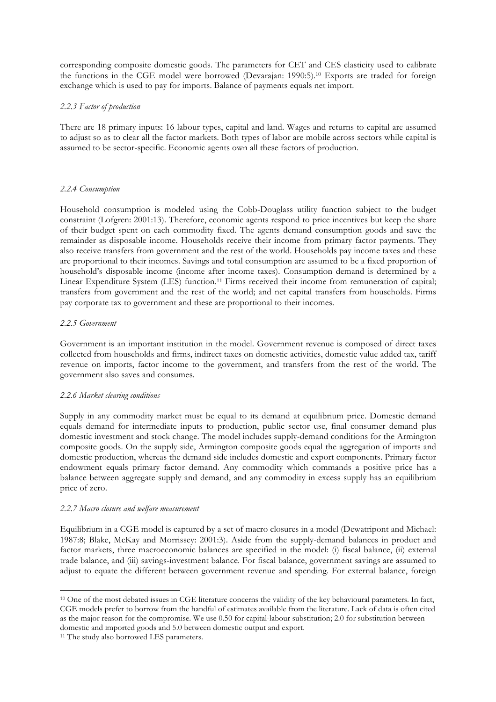corresponding composite domestic goods. The parameters for CET and CES elasticity used to calibrate the functions in the CGE model were borrowed (Devarajan: 1990:5).10 Exports are traded for foreign exchange which is used to pay for imports. Balance of payments equals net import.

# *2.2.3 Factor of production*

There are 18 primary inputs: 16 labour types, capital and land. Wages and returns to capital are assumed to adjust so as to clear all the factor markets. Both types of labor are mobile across sectors while capital is assumed to be sector-specific. Economic agents own all these factors of production.

# *2.2.4 Consumption*

Household consumption is modeled using the Cobb-Douglass utility function subject to the budget constraint (Lofgren: 2001:13). Therefore, economic agents respond to price incentives but keep the share of their budget spent on each commodity fixed. The agents demand consumption goods and save the remainder as disposable income. Households receive their income from primary factor payments. They also receive transfers from government and the rest of the world. Households pay income taxes and these are proportional to their incomes. Savings and total consumption are assumed to be a fixed proportion of household's disposable income (income after income taxes). Consumption demand is determined by a Linear Expenditure System (LES) function.11 Firms received their income from remuneration of capital; transfers from government and the rest of the world; and net capital transfers from households. Firms pay corporate tax to government and these are proportional to their incomes.

# *2.2.5 Government*

Government is an important institution in the model. Government revenue is composed of direct taxes collected from households and firms, indirect taxes on domestic activities, domestic value added tax, tariff revenue on imports, factor income to the government, and transfers from the rest of the world. The government also saves and consumes.

# *2.2.6 Market clearing conditions*

Supply in any commodity market must be equal to its demand at equilibrium price. Domestic demand equals demand for intermediate inputs to production, public sector use, final consumer demand plus domestic investment and stock change. The model includes supply-demand conditions for the Armington composite goods. On the supply side, Armington composite goods equal the aggregation of imports and domestic production, whereas the demand side includes domestic and export components. Primary factor endowment equals primary factor demand. Any commodity which commands a positive price has a balance between aggregate supply and demand, and any commodity in excess supply has an equilibrium price of zero.

## *2.2.7 Macro closure and welfare measurement*

Equilibrium in a CGE model is captured by a set of macro closures in a model (Dewatripont and Michael: 1987:8; Blake, McKay and Morrissey: 2001:3). Aside from the supply-demand balances in product and factor markets, three macroeconomic balances are specified in the model: (i) fiscal balance, (ii) external trade balance, and (iii) savings-investment balance. For fiscal balance, government savings are assumed to adjust to equate the different between government revenue and spending. For external balance, foreign

 $\overline{a}$ 

<sup>&</sup>lt;sup>10</sup> One of the most debated issues in CGE literature concerns the validity of the key behavioural parameters. In fact, CGE models prefer to borrow from the handful of estimates available from the literature. Lack of data is often cited as the major reason for the compromise. We use 0.50 for capital-labour substitution; 2.0 for substitution between domestic and imported goods and 5.0 between domestic output and export.

<sup>&</sup>lt;sup>11</sup> The study also borrowed LES parameters.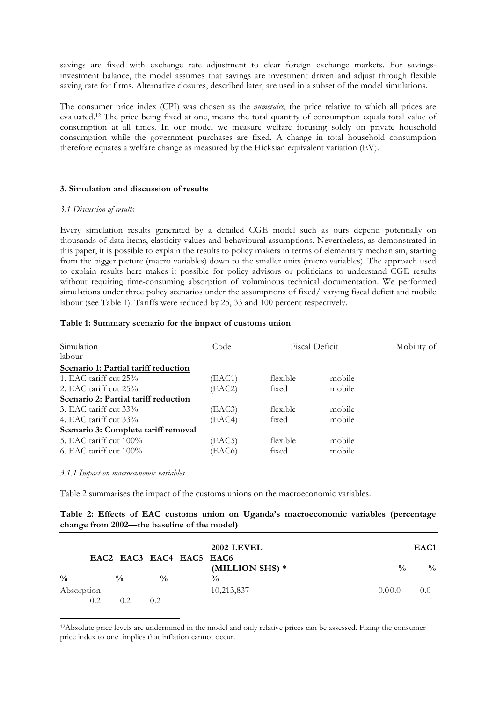savings are fixed with exchange rate adjustment to clear foreign exchange markets. For savingsinvestment balance, the model assumes that savings are investment driven and adjust through flexible saving rate for firms. Alternative closures, described later, are used in a subset of the model simulations.

The consumer price index (CPI) was chosen as the *numeraire*, the price relative to which all prices are evaluated.12 The price being fixed at one, means the total quantity of consumption equals total value of consumption at all times. In our model we measure welfare focusing solely on private household consumption while the government purchases are fixed. A change in total household consumption therefore equates a welfare change as measured by the Hicksian equivalent variation (EV).

## **3. Simulation and discussion of results**

#### *3.1 Discussion of results*

Every simulation results generated by a detailed CGE model such as ours depend potentially on thousands of data items, elasticity values and behavioural assumptions. Nevertheless, as demonstrated in this paper, it is possible to explain the results to policy makers in terms of elementary mechanism, starting from the bigger picture (macro variables) down to the smaller units (micro variables). The approach used to explain results here makes it possible for policy advisors or politicians to understand CGE results without requiring time-consuming absorption of voluminous technical documentation. We performed simulations under three policy scenarios under the assumptions of fixed/ varying fiscal deficit and mobile labour (see Table 1). Tariffs were reduced by 25, 33 and 100 percent respectively.

#### **Table 1: Summary scenario for the impact of customs union**

| Simulation                           | Code   | <b>Fiscal Deficit</b> |        | Mobility of |
|--------------------------------------|--------|-----------------------|--------|-------------|
| labour                               |        |                       |        |             |
| Scenario 1: Partial tariff reduction |        |                       |        |             |
| 1. EAC tariff cut $25\%$             | (EAC1) | flexible              | mobile |             |
| 2. EAC tariff cut 25%                | (EAC2) | fixed                 | mobile |             |
| Scenario 2: Partial tariff reduction |        |                       |        |             |
| 3. EAC tariff cut $33\%$             | (EAC3) | flexible              | mobile |             |
| 4. EAC tariff cut $33\%$             | (EAC4) | fixed                 | mobile |             |
| Scenario 3: Complete tariff removal  |        |                       |        |             |
| 5. EAC tariff cut $100\%$            | (EAC5) | flexible              | mobile |             |
| 6. EAC tariff cut $100\%$            | (EAC6) | fixed                 | mobile |             |

*3.1.1 Impact on macroeconomic variables*

 $\overline{a}$ 

Table 2 summarises the impact of the customs unions on the macroeconomic variables.

|  |                                             |  | Table 2: Effects of EAC customs union on Uganda's macroeconomic variables (percentage |  |
|--|---------------------------------------------|--|---------------------------------------------------------------------------------------|--|
|  | change from 2002—the baseline of the model) |  |                                                                                       |  |

| EAC2 EAC3 EAC4 EAC5 EAC6 |     | <b>2002 LEVEL</b> | EAC <sub>1</sub> |                                  |               |               |  |  |
|--------------------------|-----|-------------------|------------------|----------------------------------|---------------|---------------|--|--|
| $\frac{0}{0}$            |     | $\frac{0}{0}$     | $\frac{0}{0}$    | (MILLION SHS) *<br>$\frac{0}{0}$ | $\frac{0}{0}$ | $\frac{0}{0}$ |  |  |
| Absorption               |     |                   |                  | 10,213,837                       | 0.00.0        | 0.0           |  |  |
|                          | 0.2 | 02                | 0.2.             |                                  |               |               |  |  |

<sup>12</sup>Absolute price levels are undermined in the model and only relative prices can be assessed. Fixing the consumer price index to one implies that inflation cannot occur.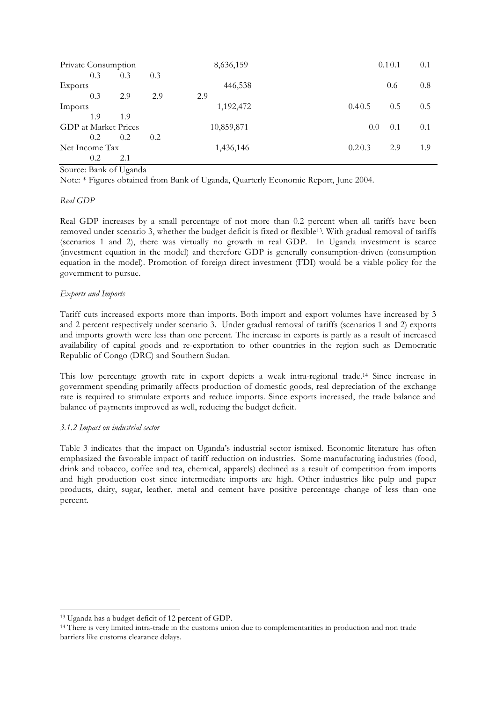| Private Consumption         |     |     | 8,636,159  | 0.10.1        | 0.1 |
|-----------------------------|-----|-----|------------|---------------|-----|
| 0.3                         | 0.3 | 0.3 |            |               |     |
| Exports                     |     |     | 446,538    | 0.6           | 0.8 |
| 0.3                         | 2.9 | 2.9 | 2.9        |               |     |
| Imports                     |     |     | 1,192,472  | 0.5<br>0.40.5 | 0.5 |
| 1.9                         | 1.9 |     |            |               |     |
| <b>GDP</b> at Market Prices |     |     | 10,859,871 | 0.1<br>0.0    | 0.1 |
| $0.2^{\circ}$               | 0.2 | 0.2 |            |               |     |
| Net Income Tax              |     |     | 1,436,146  | 0.20.3<br>2.9 | 1.9 |
| 0.2                         | 2.1 |     |            |               |     |

Source: Bank of Uganda

Note: \* Figures obtained from Bank of Uganda, Quarterly Economic Report, June 2004.

# *Real GDP*

Real GDP increases by a small percentage of not more than 0.2 percent when all tariffs have been removed under scenario 3, whether the budget deficit is fixed or flexible13. With gradual removal of tariffs (scenarios 1 and 2), there was virtually no growth in real GDP. In Uganda investment is scarce (investment equation in the model) and therefore GDP is generally consumption-driven (consumption equation in the model). Promotion of foreign direct investment (FDI) would be a viable policy for the government to pursue.

# *Exports and Imports*

Tariff cuts increased exports more than imports. Both import and export volumes have increased by 3 and 2 percent respectively under scenario 3. Under gradual removal of tariffs (scenarios 1 and 2) exports and imports growth were less than one percent. The increase in exports is partly as a result of increased availability of capital goods and re-exportation to other countries in the region such as Democratic Republic of Congo (DRC) and Southern Sudan.

This low percentage growth rate in export depicts a weak intra-regional trade.14 Since increase in government spending primarily affects production of domestic goods, real depreciation of the exchange rate is required to stimulate exports and reduce imports. Since exports increased, the trade balance and balance of payments improved as well, reducing the budget deficit.

# *3.1.2 Impact on industrial sector*

 $\overline{a}$ 

Table 3 indicates that the impact on Uganda's industrial sector ismixed. Economic literature has often emphasized the favorable impact of tariff reduction on industries. Some manufacturing industries (food, drink and tobacco, coffee and tea, chemical, apparels) declined as a result of competition from imports and high production cost since intermediate imports are high. Other industries like pulp and paper products, dairy, sugar, leather, metal and cement have positive percentage change of less than one percent.

<sup>13</sup> Uganda has a budget deficit of 12 percent of GDP.

<sup>14</sup> There is very limited intra-trade in the customs union due to complementarities in production and non trade barriers like customs clearance delays.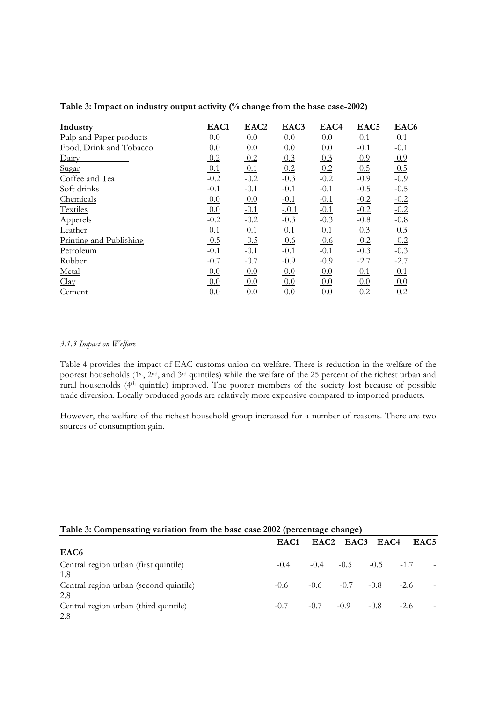| Industry                | EAC1   | EAC <sub>2</sub> | EAC3    | EAC4   | EAC <sub>5</sub> | EAC <sub>6</sub> |
|-------------------------|--------|------------------|---------|--------|------------------|------------------|
| Pulp and Paper products | 0.0    | 0.0              | 0.0     | 0.0    | 0.1              | 0.1              |
| Food, Drink and Tobacco | 0.0    | 0.0              | 0.0     | 0.0    | $-0.1$           | $-0.1$           |
| Dairy                   | 0.2    | 0.2              | 0.3     | 0.3    | 0.9              | 0.9              |
| Sugar                   | 0.1    | 0.1              | 0.2     | 0.2    | 0.5              | 0.5              |
| Coffee and Tea          | $-0.2$ | $-0.2$           | $-0.3$  | $-0.2$ | $-0.9$           | $-0.9$           |
| Soft drinks             | $-0.1$ | $-0.1$           | $-0.1$  | $-0.1$ | $-0.5$           | $-0.5$           |
| Chemicals               | 0.0    | 0.0              | $-0.1$  | $-0.1$ | $-0.2$           | $-0.2$           |
| Textiles                | 0.0    | $-0.1$           | $-.0.1$ | $-0.1$ | $-0.2$           | $-0.2$           |
| Apperels                | $-0.2$ | $-0.2$           | $-0.3$  | $-0.3$ | $-0.8$           | $-0.8$           |
| Leather                 | 0.1    | 0.1              | 0.1     | 0.1    | 0.3              | 0.3              |
| Printing and Publishing | $-0.5$ | $-0.5$           | $-0.6$  | $-0.6$ | $-0.2$           | $-0.2$           |
| Petroleum               | $-0.1$ | $-0.1$           | $-0.1$  | $-0.1$ | $-0.3$           | $-0.3$           |
| Rubber                  | $-0.7$ | $-0.7$           | $-0.9$  | $-0.9$ | $-2.7$           | $-2.7$           |
| Metal                   | 0.0    | 0.0              | 0.0     | 0.0    | 0.1              | 0.1              |
| Clay                    | 0.0    | 0.0              | 0.0     | 0.0    | 0.0              | 0.0              |
| Cement                  | 0.0    | 0.0              | 0.0     | 0.0    | 0.2              | 0.2              |

# **Table 3: Impact on industry output activity (% change from the base case-2002)**

### *3.1.3 Impact on Welfare*

Table 4 provides the impact of EAC customs union on welfare. There is reduction in the welfare of the poorest households (1st, 2nd, and 3rd quintiles) while the welfare of the 25 percent of the richest urban and rural households (4th quintile) improved. The poorer members of the society lost because of possible trade diversion. Locally produced goods are relatively more expensive compared to imported products.

However, the welfare of the richest household group increased for a number of reasons. There are two sources of consumption gain.

### **Table 3: Compensating variation from the base case 2002 (percentage change)**

|                                        | EAC <sub>1</sub> |        | EAC2 EAC3 EAC4 |               | EAC5   |  |
|----------------------------------------|------------------|--------|----------------|---------------|--------|--|
| EAC <sub>6</sub>                       |                  |        |                |               |        |  |
| Central region urban (first quintile)  | $-0.4$           | $-0.4$ | $-0.5$         | $-0.5$ $-1.7$ |        |  |
| 1.8                                    |                  |        |                |               |        |  |
| Central region urban (second quintile) | $-0.6$           | $-0.6$ | $-0.7$         | $-0.8$        | $-2.6$ |  |
| 2.8                                    |                  |        |                |               |        |  |
| Central region urban (third quintile)  | $-0.7$           | $-0.7$ | $-0.9$         | $-0.8$        | $-2.6$ |  |
| 2.8                                    |                  |        |                |               |        |  |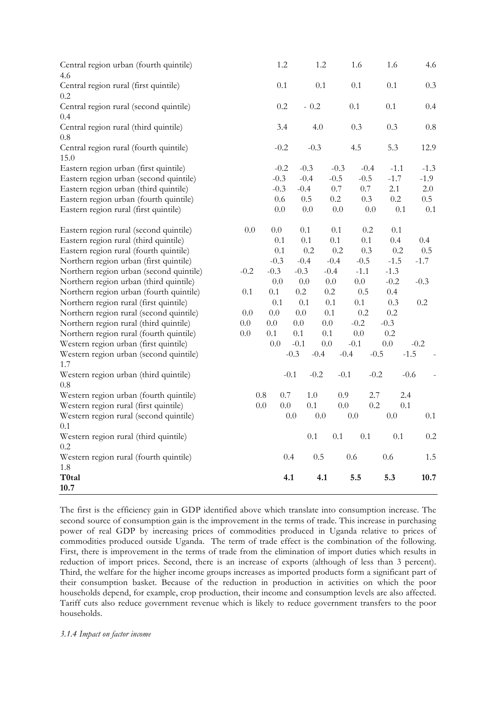| Central region urban (fourth quintile)<br>4.6  |         |         | 1.2     |         | 1.2     |         | 1.6     |        | 1.6     |        | 4.6     |
|------------------------------------------------|---------|---------|---------|---------|---------|---------|---------|--------|---------|--------|---------|
| Central region rural (first quintile)<br>0.2   |         |         | $0.1\,$ |         | 0.1     |         | 0.1     |        | 0.1     |        | 0.3     |
| Central region rural (second quintile)<br>0.4  |         |         | $0.2\,$ |         | $-0.2$  |         | 0.1     |        | 0.1     |        | 0.4     |
| Central region rural (third quintile)<br>0.8   |         |         | 3.4     |         | 4.0     |         | 0.3     |        | 0.3     |        | $0.8\,$ |
| Central region rural (fourth quintile)<br>15.0 |         |         | $-0.2$  |         | $-0.3$  |         | 4.5     |        | 5.3     |        | 12.9    |
| Eastern region urban (first quintile)          |         |         | $-0.2$  | $-0.3$  |         | $-0.3$  | $-0.4$  |        | $-1.1$  |        | $-1.3$  |
| Eastern region urban (second quintile)         |         |         | $-0.3$  | $-0.4$  |         | $-0.5$  | $-0.5$  |        | $-1.7$  |        | $-1.9$  |
| Eastern region urban (third quintile)          |         |         | $-0.3$  | $-0.4$  |         | $0.7\,$ | $0.7\,$ |        | 2.1     |        | 2.0     |
| Eastern region urban (fourth quintile)         |         |         | 0.6     | 0.5     |         | $0.2\,$ | 0.3     |        | $0.2\,$ |        | 0.5     |
| Eastern region rural (first quintile)          |         |         | $0.0\,$ | $0.0\,$ |         | $0.0\,$ |         | 0.0    | 0.1     |        | 0.1     |
| Eastern region rural (second quintile)         | $0.0\,$ |         | $0.0\,$ | 0.1     |         | 0.1     | 0.2     |        | 0.1     |        |         |
| Eastern region rural (third quintile)          |         |         | 0.1     | 0.1     |         | 0.1     | 0.1     |        | 0.4     |        | 0.4     |
| Eastern region rural (fourth quintile)         |         |         | 0.1     |         | 0.2     | 0.2     | 0.3     |        | $0.2\,$ |        | 0.5     |
| Northern region urban (first quintile)         |         |         | $-0.3$  | $-0.4$  |         | $-0.4$  | $-0.5$  |        | $-1.5$  |        | $-1.7$  |
| Northern region urban (second quintile)        | $-0.2$  |         | $-0.3$  | $-0.3$  |         | $-0.4$  | $-1.1$  |        | $-1.3$  |        |         |
| Northern region urban (third quintile)         |         |         | $0.0\,$ | $0.0\,$ |         | $0.0\,$ | $0.0\,$ |        | $-0.2$  |        | $-0.3$  |
| Northern region urban (fourth quintile)        | 0.1     |         | 0.1     | $0.2\,$ |         | $0.2\,$ | 0.5     |        | 0.4     |        |         |
| Northern region rural (first quintile)         |         |         | 0.1     | 0.1     |         | 0.1     | 0.1     |        | 0.3     |        | 0.2     |
| Northern region rural (second quintile)        | 0.0     |         | 0.0     | 0.0     |         | $0.1\,$ | 0.2     |        | $0.2\,$ |        |         |
| Northern region rural (third quintile)         | $0.0\,$ |         | $0.0\,$ | 0.0     | $0.0\,$ |         | $-0.2$  |        | $-0.3$  |        |         |
| Northern region rural (fourth quintile)        | $0.0\,$ |         | 0.1     | 0.1     | 0.1     |         | $0.0\,$ |        | 0.2     |        |         |
| Western region urban (first quintile)          |         |         | 0.0     | $-0.1$  | 0.0     |         | $-0.1$  |        | 0.0     | $-0.2$ |         |
| Western region urban (second quintile)         |         |         |         | $-0.3$  | $-0.4$  | $-0.4$  |         | $-0.5$ |         | $-1.5$ |         |
| 1.7                                            |         |         |         |         |         |         |         |        |         |        |         |
| Western region urban (third quintile)<br>0.8   |         |         |         | $-0.1$  | $-0.2$  | $-0.1$  |         | $-0.2$ |         | $-0.6$ |         |
| Western region urban (fourth quintile)         |         | $0.8\,$ | $0.7\,$ |         | $1.0\,$ | $0.9\,$ |         | 2.7    |         | 2.4    |         |
| Western region rural (first quintile)          |         | $0.0\,$ | $0.0\,$ |         | 0.1     | $0.0\,$ |         | 0.2    |         | 0.1    |         |
| Western region rural (second quintile)         |         |         |         | $0.0\,$ | $0.0\,$ |         | 0.0     |        | $0.0\,$ |        | 0.1     |
| 0.1                                            |         |         |         |         |         |         |         |        |         |        |         |
| Western region rural (third quintile)          |         |         |         |         | 0.1     | 0.1     | 0.1     |        | 0.1     |        | $0.2\,$ |
| 0.2                                            |         |         |         |         |         |         |         |        |         |        |         |
| Western region rural (fourth quintile)         |         |         | 0.4     |         | 0.5     |         | 0.6     |        | 0.6     |        | 1.5     |
| 1.8                                            |         |         |         |         |         |         |         |        |         |        |         |
| T0tal<br>10.7                                  |         |         | 4.1     |         | 4.1     |         | 5.5     |        | 5.3     |        | 10.7    |

The first is the efficiency gain in GDP identified above which translate into consumption increase. The second source of consumption gain is the improvement in the terms of trade. This increase in purchasing power of real GDP by increasing prices of commodities produced in Uganda relative to prices of commodities produced outside Uganda. The term of trade effect is the combination of the following. First, there is improvement in the terms of trade from the elimination of import duties which results in reduction of import prices. Second, there is an increase of exports (although of less than 3 percent). Third, the welfare for the higher income groups increases as imported products form a significant part of their consumption basket. Because of the reduction in production in activities on which the poor households depend, for example, crop production, their income and consumption levels are also affected. Tariff cuts also reduce government revenue which is likely to reduce government transfers to the poor households.

## *3.1.4 Impact on factor income*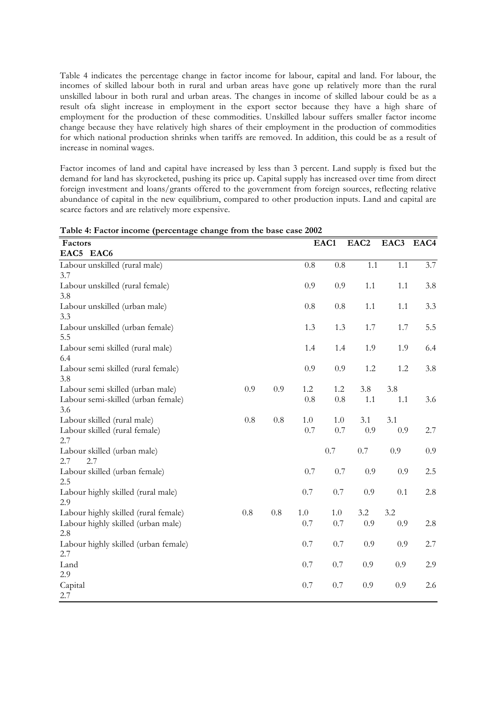Table 4 indicates the percentage change in factor income for labour, capital and land. For labour, the incomes of skilled labour both in rural and urban areas have gone up relatively more than the rural unskilled labour in both rural and urban areas. The changes in income of skilled labour could be as a result ofa slight increase in employment in the export sector because they have a high share of employment for the production of these commodities. Unskilled labour suffers smaller factor income change because they have relatively high shares of their employment in the production of commodities for which national production shrinks when tariffs are removed. In addition, this could be as a result of increase in nominal wages.

Factor incomes of land and capital have increased by less than 3 percent. Land supply is fixed but the demand for land has skyrocketed, pushing its price up. Capital supply has increased over time from direct foreign investment and loans/grants offered to the government from foreign sources, reflecting relative abundance of capital in the new equilibrium, compared to other production inputs. Land and capital are scarce factors and are relatively more expensive.

| Factors                              |         |         |         | EAC1    | EAC <sub>2</sub> | EAC3    | EAC4 |
|--------------------------------------|---------|---------|---------|---------|------------------|---------|------|
| EAC5 EAC6                            |         |         |         |         |                  |         |      |
| Labour unskilled (rural male)        |         |         | 0.8     | 0.8     | 1.1              | $1.1\,$ | 3.7  |
| 3.7                                  |         |         |         |         |                  |         |      |
| Labour unskilled (rural female)      |         |         | 0.9     | 0.9     | 1.1              | 1.1     | 3.8  |
| 3.8                                  |         |         |         |         |                  |         |      |
| Labour unskilled (urban male)        |         |         | $0.8\,$ | $0.8\,$ | $1.1\,$          | 1.1     | 3.3  |
| 3.3                                  |         |         |         |         |                  |         |      |
| Labour unskilled (urban female)      |         |         | 1.3     | 1.3     | 1.7              | 1.7     | 5.5  |
| 5.5                                  |         |         |         |         |                  |         |      |
| Labour semi skilled (rural male)     |         |         | 1.4     | 1.4     | 1.9              | 1.9     | 6.4  |
| 6.4                                  |         |         |         |         |                  |         |      |
| Labour semi skilled (rural female)   |         |         | 0.9     | 0.9     | 1.2              | $1.2\,$ | 3.8  |
| 3.8                                  |         |         |         |         |                  |         |      |
| Labour semi skilled (urban male)     | 0.9     | 0.9     | 1.2     | $1.2\,$ | 3.8              | 3.8     |      |
| Labour semi-skilled (urban female)   |         |         | 0.8     | $0.8\,$ | 1.1              | 1.1     | 3.6  |
| 3.6                                  |         |         |         |         |                  |         |      |
| Labour skilled (rural male)          | 0.8     | $0.8\,$ | 1.0     | 1.0     | 3.1              | 3.1     |      |
| Labour skilled (rural female)        |         |         | 0.7     | 0.7     | 0.9              | 0.9     | 2.7  |
| 2.7                                  |         |         |         |         |                  |         |      |
| Labour skilled (urban male)          |         |         |         | 0.7     | $0.7\,$          | 0.9     | 0.9  |
| 2.7<br>2.7                           |         |         |         |         |                  |         |      |
| Labour skilled (urban female)        |         |         | 0.7     | 0.7     | 0.9              | 0.9     | 2.5  |
| 2.5                                  |         |         |         |         |                  |         |      |
| Labour highly skilled (rural male)   |         |         | 0.7     | $0.7\,$ | 0.9              | 0.1     | 2.8  |
| 2.9                                  |         |         |         |         |                  |         |      |
| Labour highly skilled (rural female) | $0.8\,$ | $0.8\,$ | $1.0\,$ | $1.0\,$ | 3.2              | 3.2     |      |
| Labour highly skilled (urban male)   |         |         | 0.7     | 0.7     | 0.9              | 0.9     | 2.8  |
| 2.8                                  |         |         |         |         |                  |         |      |
| Labour highly skilled (urban female) |         |         | 0.7     | 0.7     | 0.9              | 0.9     | 2.7  |
| 2.7                                  |         |         |         |         |                  |         |      |
| Land                                 |         |         | 0.7     | 0.7     | $0.9\,$          | $0.9\,$ | 2.9  |
| 2.9                                  |         |         |         |         |                  |         |      |
| Capital                              |         |         | 0.7     | 0.7     | 0.9              | 0.9     | 2.6  |
| 2.7                                  |         |         |         |         |                  |         |      |

**Table 4: Factor income (percentage change from the base case 2002**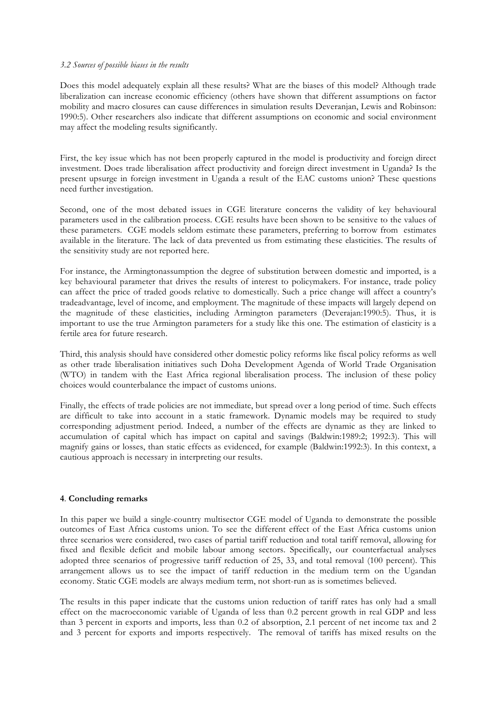### *3.2 Sources of possible biases in the results*

Does this model adequately explain all these results? What are the biases of this model? Although trade liberalization can increase economic efficiency (others have shown that different assumptions on factor mobility and macro closures can cause differences in simulation results Deveranjan, Lewis and Robinson: 1990:5). Other researchers also indicate that different assumptions on economic and social environment may affect the modeling results significantly.

First, the key issue which has not been properly captured in the model is productivity and foreign direct investment. Does trade liberalisation affect productivity and foreign direct investment in Uganda? Is the present upsurge in foreign investment in Uganda a result of the EAC customs union? These questions need further investigation.

Second, one of the most debated issues in CGE literature concerns the validity of key behavioural parameters used in the calibration process. CGE results have been shown to be sensitive to the values of these parameters. CGE models seldom estimate these parameters, preferring to borrow from estimates available in the literature. The lack of data prevented us from estimating these elasticities. The results of the sensitivity study are not reported here.

For instance, the Armingtonassumption the degree of substitution between domestic and imported, is a key behavioural parameter that drives the results of interest to policymakers. For instance, trade policy can affect the price of traded goods relative to domestically. Such a price change will affect a country's tradeadvantage, level of income, and employment. The magnitude of these impacts will largely depend on the magnitude of these elasticities, including Armington parameters (Deverajan:1990:5). Thus, it is important to use the true Armington parameters for a study like this one. The estimation of elasticity is a fertile area for future research.

Third, this analysis should have considered other domestic policy reforms like fiscal policy reforms as well as other trade liberalisation initiatives such Doha Development Agenda of World Trade Organisation (WTO) in tandem with the East Africa regional liberalisation process. The inclusion of these policy choices would counterbalance the impact of customs unions.

Finally, the effects of trade policies are not immediate, but spread over a long period of time. Such effects are difficult to take into account in a static framework. Dynamic models may be required to study corresponding adjustment period. Indeed, a number of the effects are dynamic as they are linked to accumulation of capital which has impact on capital and savings (Baldwin:1989:2; 1992:3). This will magnify gains or losses, than static effects as evidenced, for example (Baldwin:1992:3). In this context, a cautious approach is necessary in interpreting our results.

## **4**. **Concluding remarks**

In this paper we build a single-country multisector CGE model of Uganda to demonstrate the possible outcomes of East Africa customs union. To see the different effect of the East Africa customs union three scenarios were considered, two cases of partial tariff reduction and total tariff removal, allowing for fixed and flexible deficit and mobile labour among sectors. Specifically, our counterfactual analyses adopted three scenarios of progressive tariff reduction of 25, 33, and total removal (100 percent). This arrangement allows us to see the impact of tariff reduction in the medium term on the Ugandan economy. Static CGE models are always medium term, not short-run as is sometimes believed.

The results in this paper indicate that the customs union reduction of tariff rates has only had a small effect on the macroeconomic variable of Uganda of less than 0.2 percent growth in real GDP and less than 3 percent in exports and imports, less than 0.2 of absorption, 2.1 percent of net income tax and 2 and 3 percent for exports and imports respectively. The removal of tariffs has mixed results on the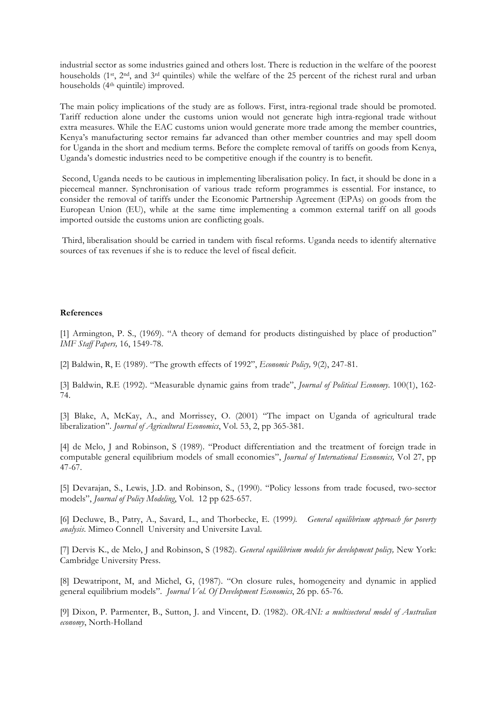industrial sector as some industries gained and others lost. There is reduction in the welfare of the poorest households (1st, 2nd, and 3rd quintiles) while the welfare of the 25 percent of the richest rural and urban households (4th quintile) improved.

The main policy implications of the study are as follows. First, intra-regional trade should be promoted. Tariff reduction alone under the customs union would not generate high intra-regional trade without extra measures. While the EAC customs union would generate more trade among the member countries, Kenya's manufacturing sector remains far advanced than other member countries and may spell doom for Uganda in the short and medium terms. Before the complete removal of tariffs on goods from Kenya, Uganda's domestic industries need to be competitive enough if the country is to benefit.

Second, Uganda needs to be cautious in implementing liberalisation policy. In fact, it should be done in a piecemeal manner. Synchronisation of various trade reform programmes is essential. For instance, to consider the removal of tariffs under the Economic Partnership Agreement (EPAs) on goods from the European Union (EU), while at the same time implementing a common external tariff on all goods imported outside the customs union are conflicting goals.

Third, liberalisation should be carried in tandem with fiscal reforms. Uganda needs to identify alternative sources of tax revenues if she is to reduce the level of fiscal deficit.

#### **References**

[1] Armington, P. S., (1969). "A theory of demand for products distinguished by place of production" *IMF Staff Papers,* 16, 1549-78.

[2] Baldwin, R, E (1989). "The growth effects of 1992", *Economic Policy,* 9(2), 247-81.

[3] Baldwin, R.E (1992). "Measurable dynamic gains from trade", *Journal of Political Economy*. 100(1), 162- 74.

[3] Blake, A, McKay, A., and Morrissey, O. (2001) "The impact on Uganda of agricultural trade liberalization". *Journal of Agricultural Economics*, Vol. 53, 2, pp 365-381.

[4] de Melo, J and Robinson, S (1989). "Product differentiation and the treatment of foreign trade in computable general equilibrium models of small economies", *Journal of International Economics,* Vol 27, pp 47-67.

[5] Devarajan, S., Lewis, J.D. and Robinson, S., (1990). "Policy lessons from trade focused, two-sector models", *Journal of Policy Modeling*, Vol. 12 pp 625-657.

[6] Decluwe, B., Patry, A., Savard, L., and Thorbecke, E. (1999*). General equilibrium approach for poverty analysis*. Mimeo Connell University and Universite Laval.

[7] Dervis K., de Melo, J and Robinson, S (1982). *General equilibrium models for development policy,* New York: Cambridge University Press.

[8] Dewatripont, M, and Michel, G, (1987). "On closure rules, homogeneity and dynamic in applied general equilibrium models". *Journal Vol. Of Development Economics*, 26 pp. 65-76.

[9] Dixon, P. Parmenter, B., Sutton, J. and Vincent, D. (1982). *ORANI: a multisectoral model of Australian economy*, North-Holland